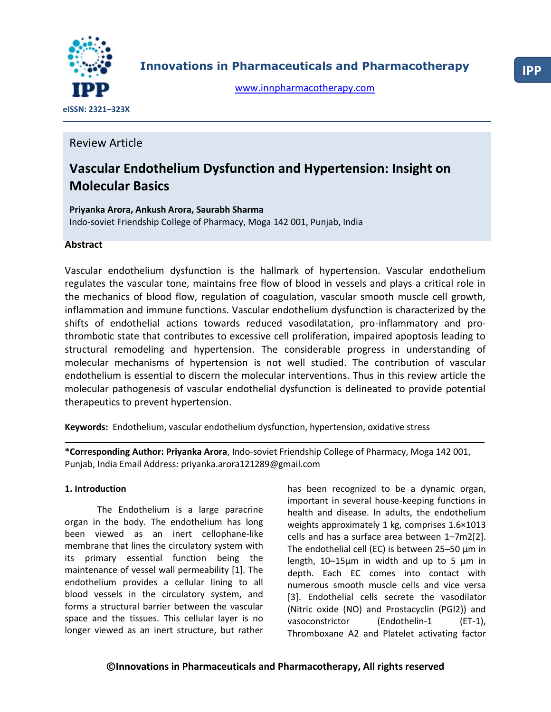

**Innovations in Pharmaceuticals and Pharmacotherapy**

[www.innpharmacotherapy.com](http://www.innpharmacotherapy.com/)

 **eISSN: 2321–323X**

## Review Article

# **Vascular Endothelium Dysfunction and Hypertension: Insight on Molecular Basics**

## **Priyanka Arora, Ankush Arora, Saurabh Sharma** Indo-soviet Friendship College of Pharmacy, Moga 142 001, Punjab, India

### **Abstract**

Vascular endothelium dysfunction is the hallmark of hypertension. Vascular endothelium regulates the vascular tone, maintains free flow of blood in vessels and plays a critical role in the mechanics of blood flow, regulation of coagulation, vascular smooth muscle cell growth, inflammation and immune functions. Vascular endothelium dysfunction is characterized by the shifts of endothelial actions towards reduced vasodilatation, pro-inflammatory and prothrombotic state that contributes to excessive cell proliferation, impaired apoptosis leading to structural remodeling and hypertension. The considerable progress in understanding of molecular mechanisms of hypertension is not well studied. The contribution of vascular endothelium is essential to discern the molecular interventions. Thus in this review article the molecular pathogenesis of vascular endothelial dysfunction is delineated to provide potential therapeutics to prevent hypertension.

**Keywords:** Endothelium, vascular endothelium dysfunction, hypertension, oxidative stress

**\*Corresponding Author: Priyanka Arora**, Indo-soviet Friendship College of Pharmacy, Moga 142 001, Punjab, India Email Address: priyanka.arora121289@gmail.com

#### **1. Introduction**

The Endothelium is a large paracrine organ in the body. The endothelium has long been viewed as an inert cellophane-like membrane that lines the circulatory system with its primary essential function being the maintenance of vessel wall permeability [1]. The endothelium provides a cellular lining to all blood vessels in the circulatory system, and forms a structural barrier between the vascular space and the tissues. This cellular layer is no longer viewed as an inert structure, but rather

has been recognized to be a dynamic organ, important in several house-keeping functions in health and disease. In adults, the endothelium weights approximately 1 kg, comprises 1.6×1013 cells and has a surface area between 1–7m2[2]. The endothelial cell (EC) is between 25–50 μm in length, 10–15μm in width and up to 5 μm in depth. Each EC comes into contact with numerous smooth muscle cells and vice versa [3]. Endothelial cells secrete the vasodilator (Nitric oxide (NO) and Prostacyclin (PGI2)) and vasoconstrictor (Endothelin-1 (ET-1), Thromboxane A2 and Platelet activating factor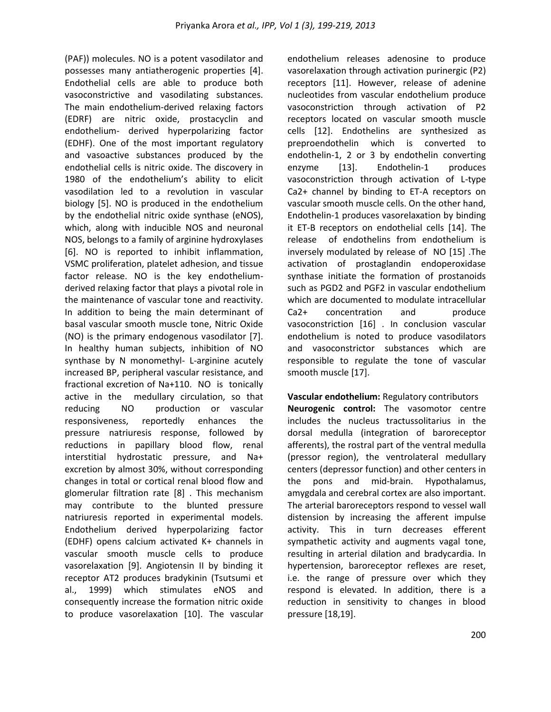(PAF)) molecules. NO is a potent vasodilator and possesses many antiatherogenic properties [4]. Endothelial cells are able to produce both vasoconstrictive and vasodilating substances. The main endothelium-derived relaxing factors (EDRF) are nitric oxide, prostacyclin and endothelium- derived hyperpolarizing factor (EDHF). One of the most important regulatory and vasoactive substances produced by the endothelial cells is nitric oxide. The discovery in 1980 of the endothelium's ability to elicit vasodilation led to a revolution in vascular biology [5]. NO is produced in the endothelium by the endothelial nitric oxide synthase (eNOS), which, along with inducible NOS and neuronal NOS, belongs to a family of arginine hydroxylases [6]. NO is reported to inhibit inflammation, VSMC proliferation, platelet adhesion, and tissue factor release. NO is the key endotheliumderived relaxing factor that plays a pivotal role in the maintenance of vascular tone and reactivity. In addition to being the main determinant of basal vascular smooth muscle tone, Nitric Oxide (NO) is the primary endogenous vasodilator [7]. In healthy human subjects, inhibition of NO synthase by N monomethyl- L-arginine acutely increased BP, peripheral vascular resistance, and fractional excretion of Na+110. NO is tonically active in the medullary circulation, so that reducing NO production or vascular responsiveness, reportedly enhances the pressure natriuresis response, followed by reductions in papillary blood flow, renal interstitial hydrostatic pressure, and Na+ excretion by almost 30%, without corresponding changes in total or cortical renal blood flow and glomerular filtration rate [8] . This mechanism may contribute to the blunted pressure natriuresis reported in experimental models. Endothelium derived hyperpolarizing factor (EDHF) opens calcium activated K+ channels in vascular smooth muscle cells to produce vasorelaxation [9]. Angiotensin II by binding it receptor AT2 produces bradykinin (Tsutsumi et al., 1999) which stimulates eNOS and consequently increase the formation nitric oxide to produce vasorelaxation [10]. The vascular endothelium releases adenosine to produce vasorelaxation through activation purinergic (P2) receptors [11]. However, release of adenine nucleotides from vascular endothelium produce vasoconstriction through activation of P2 receptors located on vascular smooth muscle cells [12]. Endothelins are synthesized as preproendothelin which is converted to endothelin-1, 2 or 3 by endothelin converting enzyme [13]. Endothelin-1 produces vasoconstriction through activation of L-type Ca2+ channel by binding to ET-A receptors on vascular smooth muscle cells. On the other hand, Endothelin-1 produces vasorelaxation by binding it ET-B receptors on endothelial cells [14]. The release of endothelins from endothelium is inversely modulated by release of NO [15] .The activation of prostaglandin endoperoxidase synthase initiate the formation of prostanoids such as PGD2 and PGF2 in vascular endothelium which are documented to modulate intracellular Ca2+ concentration and produce vasoconstriction [16] . In conclusion vascular endothelium is noted to produce vasodilators and vasoconstrictor substances which are responsible to regulate the tone of vascular smooth muscle [17].

**Vascular endothelium:** Regulatory contributors **Neurogenic control:** The vasomotor centre

includes the nucleus tractussolitarius in the dorsal medulla (integration of baroreceptor afferents), the rostral part of the ventral medulla (pressor region), the ventrolateral medullary centers (depressor function) and other centers in the pons and mid-brain. Hypothalamus, amygdala and cerebral cortex are also important. The arterial baroreceptors respond to vessel wall distension by increasing the afferent impulse activity. This in turn decreases efferent sympathetic activity and augments vagal tone, resulting in arterial dilation and bradycardia. In hypertension, baroreceptor reflexes are reset, i.e. the range of pressure over which they respond is elevated. In addition, there is a reduction in sensitivity to changes in blood pressure [18,19].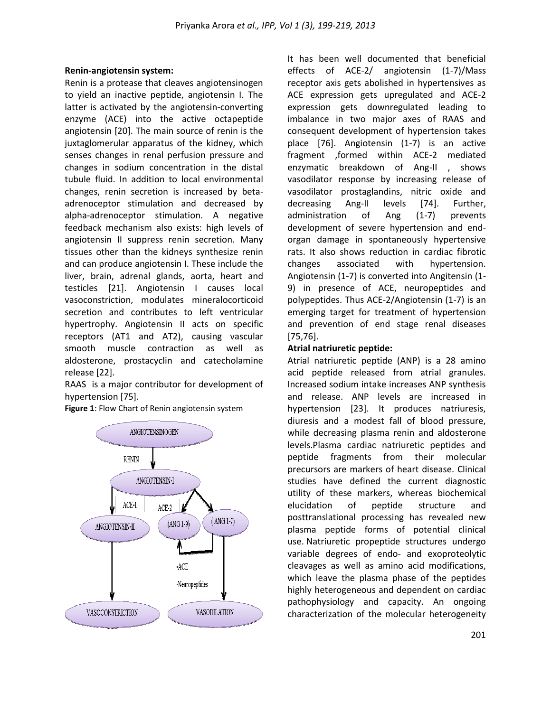#### **Renin-angiotensin system:**

Renin is a protease that cleaves angiotensinogen to yield an inactive peptide, angiotensin I. The latter is activated by the angiotensin-converting enzyme (ACE) into the active octapeptide angiotensin [20]. The main source of renin is the juxtaglomerular apparatus of the kidney, which senses changes in renal perfusion pressure and changes in sodium concentration in the distal tubule fluid. In addition to local environmental changes, renin secretion is increased by betaadrenoceptor stimulation and decreased by alpha-adrenoceptor stimulation. A negative feedback mechanism also exists: high levels of angiotensin II suppress renin secretion. Many tissues other than the kidneys synthesize renin and can produce angiotensin I. These include the liver, brain, adrenal glands, aorta, heart and testicles [21]. Angiotensin I causes local vasoconstriction, modulates mineralocorticoid secretion and contributes to left ventricular hypertrophy. Angiotensin II acts on specific receptors (AT1 and AT2), causing vascular smooth muscle contraction as well as aldosterone, prostacyclin and catecholamine release [22].

RAAS is a major contributor for development of hypertension [75].

**Figure 1**: Flow Chart of Renin angiotensin system



It has been well documented that beneficial effects of ACE-2/ angiotensin (1-7)/Mass receptor axis gets abolished in hypertensives as ACE expression gets upregulated and ACE-2 expression gets downregulated leading to imbalance in two major axes of RAAS and consequent development of hypertension takes place [76]. Angiotensin (1-7) is an active fragment ,formed within ACE-2 mediated enzymatic breakdown of Ang-II , shows vasodilator response by increasing release of vasodilator prostaglandins, nitric oxide and decreasing Ang-II levels [74]. Further, administration of Ang (1-7) prevents development of severe hypertension and endorgan damage in spontaneously hypertensive rats. It also shows reduction in cardiac fibrotic changes associated with hypertension. Angiotensin (1-7) is converted into Angitensin (1- 9) in presence of ACE, neuropeptides and polypeptides. Thus ACE-2/Angiotensin (1-7) is an emerging target for treatment of hypertension and prevention of end stage renal diseases [75,76].

#### **Atrial natriuretic peptide:**

Atrial natriuretic peptide (ANP) is a 28 amino acid peptide released from atrial granules. Increased sodium intake increases ANP synthesis and release. ANP levels are increased in hypertension [23]. It produces natriuresis, diuresis and a modest fall of blood pressure, while decreasing plasma renin and aldosterone levels.Plasma cardiac natriuretic peptides and peptide fragments from their molecular precursors are markers of heart disease. Clinical studies have defined the current diagnostic utility of these markers, whereas biochemical elucidation of peptide structure and posttranslational processing has revealed new plasma peptide forms of potential clinical use. Natriuretic propeptide structures undergo variable degrees of endo- and exoproteolytic cleavages as well as amino acid modifications, which leave the plasma phase of the peptides highly heterogeneous and dependent on cardiac pathophysiology and capacity. An ongoing characterization of the molecular heterogeneity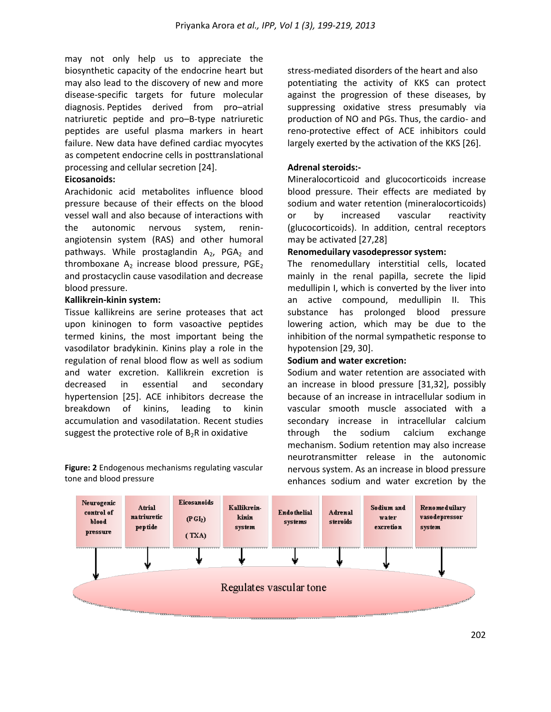may not only help us to appreciate the biosynthetic capacity of the endocrine heart but may also lead to the discovery of new and more disease-specific targets for future molecular diagnosis. Peptides derived from pro–atrial natriuretic peptide and pro–B-type natriuretic peptides are useful plasma markers in heart failure. New data have defined cardiac myocytes as competent endocrine cells in posttranslational processing and cellular secretion [24].

#### **Eicosanoids:**

Arachidonic acid metabolites influence blood pressure because of their effects on the blood vessel wall and also because of interactions with the autonomic nervous system, reninangiotensin system (RAS) and other humoral pathways. While prostaglandin  $A_2$ , PGA<sub>2</sub> and thromboxane  $A_2$  increase blood pressure, PGE<sub>2</sub> and prostacyclin cause vasodilation and decrease blood pressure.

#### **Kallikrein-kinin system:**

Tissue kallikreins are serine proteases that act upon kininogen to form vasoactive peptides termed kinins, the most important being the vasodilator bradykinin. Kinins play a role in the regulation of renal blood flow as well as sodium and water excretion. Kallikrein excretion is decreased in essential and secondary hypertension [25]. ACE inhibitors decrease the breakdown of kinins, leading to kinin accumulation and vasodilatation. Recent studies suggest the protective role of  $B_2R$  in oxidative

**Figure: 2** Endogenous mechanisms regulating vascular tone and blood pressure

stress-mediated disorders of the heart and also potentiating the activity of KKS can protect against the progression of these diseases, by suppressing oxidative stress presumably via production of NO and PGs. Thus, the cardio- and reno-protective effect of ACE inhibitors could largely exerted by the activation of the KKS [26].

#### **Adrenal steroids:-**

Mineralocorticoid and glucocorticoids increase blood pressure. Their effects are mediated by sodium and water retention (mineralocorticoids) or by increased vascular reactivity (glucocorticoids). In addition, central receptors may be activated [27,28]

#### **Renomeduilary vasodepressor system:**

The renomedullary interstitial cells, located mainly in the renal papilla, secrete the lipid medullipin I, which is converted by the liver into an active compound, medullipin II. This substance has prolonged blood pressure lowering action, which may be due to the inhibition of the normal sympathetic response to hypotension [29, 30].

#### **Sodium and water excretion:**

Sodium and water retention are associated with an increase in blood pressure [31,32], possibly because of an increase in intracellular sodium in vascular smooth muscle associated with a secondary increase in intracellular calcium through the sodium calcium exchange mechanism. Sodium retention may also increase neurotransmitter release in the autonomic nervous system. As an increase in blood pressure enhances sodium and water excretion by the

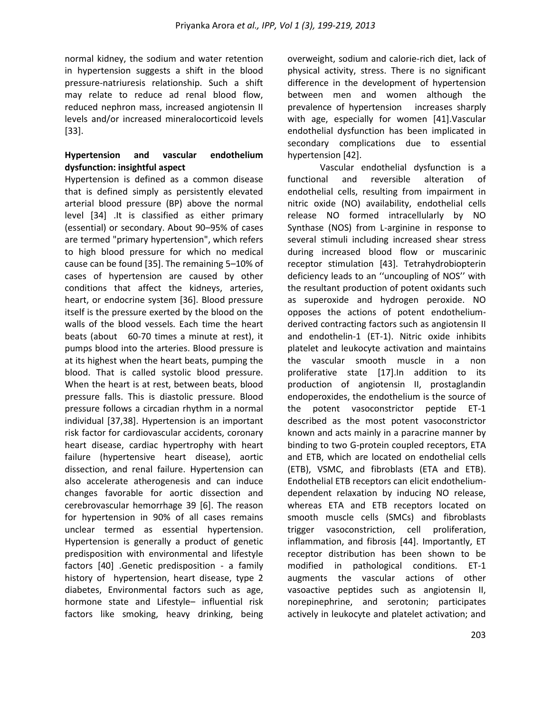normal kidney, the sodium and water retention in hypertension suggests a shift in the blood pressure-natriuresis relationship. Such a shift may relate to reduce ad renal blood flow, reduced nephron mass, increased angiotensin II levels and/or increased mineralocorticoid levels [33].

### **Hypertension and vascular endothelium dysfunction: insightful aspect**

Hypertension is defined as a common disease that is defined simply as persistently elevated arterial blood pressure (BP) above the normal level [34] .It is classified as either primary (essential) or secondary. About 90–95% of cases are termed "primary hypertension", which refers to high blood pressure for which no medical cause can be found [35]. The remaining 5–10% of cases of hypertension are caused by other conditions that affect the kidneys, arteries, heart, or endocrine system [36]. Blood pressure itself is the pressure exerted by the blood on the walls of the blood vessels. Each time the heart beats (about 60-70 times a minute at rest), it pumps blood into the arteries. Blood pressure is at its highest when the heart beats, pumping the blood. That is called systolic blood pressure. When the heart is at rest, between beats, blood pressure falls. This is diastolic pressure. Blood pressure follows a circadian rhythm in a normal individual [37,38]. Hypertension is an important risk factor for cardiovascular accidents, coronary heart disease, cardiac hypertrophy with heart failure (hypertensive heart disease), aortic dissection, and renal failure. Hypertension can also accelerate atherogenesis and can induce changes favorable for aortic dissection and cerebrovascular hemorrhage 39 [6]. The reason for hypertension in 90% of all cases remains unclear termed as essential hypertension. Hypertension is generally a product of genetic predisposition with environmental and lifestyle factors [40] .Genetic predisposition - a family history of hypertension, heart disease, type 2 diabetes, Environmental factors such as age, hormone state and Lifestyle– influential risk factors like smoking, heavy drinking, being

overweight, sodium and calorie-rich diet, lack of physical activity, stress. There is no significant difference in the development of hypertension between men and women although the prevalence of hypertension increases sharply with age, especially for women [41].Vascular endothelial dysfunction has been implicated in secondary complications due to essential hypertension [42].

Vascular endothelial dysfunction is a functional and reversible alteration of endothelial cells, resulting from impairment in nitric oxide (NO) availability, endothelial cells release NO formed intracellularly by NO Synthase (NOS) from L-arginine in response to several stimuli including increased shear stress during increased blood flow or muscarinic receptor stimulation [43]. Tetrahydrobiopterin deficiency leads to an ''uncoupling of NOS'' with the resultant production of potent oxidants such as superoxide and hydrogen peroxide. NO opposes the actions of potent endotheliumderived contracting factors such as angiotensin II and endothelin-1 (ET-1). Nitric oxide inhibits platelet and leukocyte activation and maintains the vascular smooth muscle in a non proliferative state [17].In addition to its production of angiotensin II, prostaglandin endoperoxides, the endothelium is the source of the potent vasoconstrictor peptide ET-1 described as the most potent vasoconstrictor known and acts mainly in a paracrine manner by binding to two G-protein coupled receptors, ETA and ETB, which are located on endothelial cells (ETB), VSMC, and fibroblasts (ETA and ETB). Endothelial ETB receptors can elicit endotheliumdependent relaxation by inducing NO release, whereas ETA and ETB receptors located on smooth muscle cells (SMCs) and fibroblasts trigger vasoconstriction, cell proliferation, inflammation, and fibrosis [44]. Importantly, ET receptor distribution has been shown to be modified in pathological conditions. ET-1 augments the vascular actions of other vasoactive peptides such as angiotensin II, norepinephrine, and serotonin; participates actively in leukocyte and platelet activation; and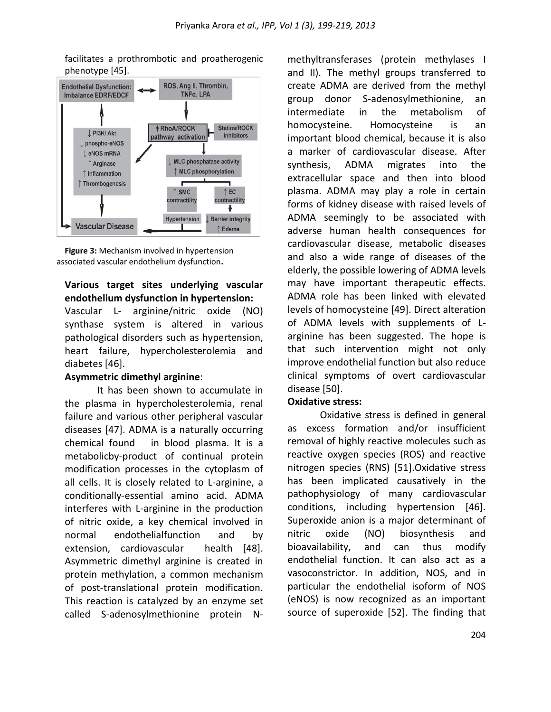**Endothelial Dysfunction:** ROS, Ang II, Thrombin,  $TNF\alpha$ , LPA **Imbalance EDRF/EDCF † RhoA/ROCK** Statins/ROCK L PI3K/ Akt pathway activation inhibitors phospho-eNOS LeNOS mRNA I MLC phosphatase activity ↑ Arginase ↑ MLC phosphorylation  $\uparrow$  Inflammation ↑ Thrombogenesis ۳  $\uparrow$  SMC  $\uparrow$  EC contractility contractility ۰ Barrier integrity Hypertension **Vascular Disease** ↑ Edema

facilitates a prothrombotic and proatherogenic phenotype [45].

**Figure 3:** Mechanism involved in hypertension associated vascular endothelium dysfunction**.**

## **Various target sites underlying vascular endothelium dysfunction in hypertension:**

Vascular L- arginine/nitric oxide (NO) synthase system is altered in various pathological disorders such as hypertension, heart failure, hypercholesterolemia and diabetes [46].

## **Asymmetric dimethyl arginine**:

It has been shown to accumulate in the plasma in hypercholesterolemia, renal failure and various other peripheral vascular diseases [47]. ADMA is a naturally occurring chemical found in [blood plasma.](http://en.wikipedia.org/wiki/Blood_plasma) It is a [metabolicby-product](http://en.wikipedia.org/wiki/Metabolism) of continual [protein](http://en.wikipedia.org/wiki/Protein) modification processes in the [cytoplasm](http://en.wikipedia.org/wiki/Cytoplasm) of all cells. It is closely related to L[-arginine,](http://en.wikipedia.org/wiki/Arginine) a conditionally-essential [amino acid.](http://en.wikipedia.org/wiki/Amino_acid) ADMA interferes with L-arginine in the production of [nitric oxide,](http://en.wikipedia.org/wiki/Nitric_oxide) a key chemical involved in normal [endothelialf](http://en.wikipedia.org/wiki/Endothelium)unction and by extension, [cardiovascular](http://en.wikipedia.org/wiki/Circulatory_system) health [48]. Asymmetric dimethyl arginine is created in protein [methylation,](http://en.wikipedia.org/wiki/Methylation) a common mechanism of post-translational protein modification. This reaction is catalyzed by an [enzyme](http://en.wikipedia.org/wiki/Enzyme) set called S-adenosylmethionine protein N-

methyltransferases (protein methylases I and II). The methyl groups transferred to create ADMA are derived from the [methyl](http://en.wikipedia.org/wiki/Methyl) group donor S-adenosylmethionine, an intermediate in the metabolism of [homocysteine.](http://en.wikipedia.org/wiki/Homocysteine) Homocysteine is an important blood chemical, because it is also a [marker](http://en.wikipedia.org/wiki/Genetic_marker) of cardiovascular disease. After [synthesis,](http://en.wikipedia.org/wiki/Biosynthesis) ADMA migrates into the [extracellular](http://en.wikipedia.org/wiki/Extracellular) space and then into blood plasma. ADMA may play a role in certain forms of [kidney](http://en.wikipedia.org/wiki/Kidney) disease with raised levels of ADMA seemingly to be associated with adverse human health consequences for cardiovascular disease, metabolic diseases and also a wide range of diseases of the elderly, the possible lowering of ADMA levels may have important therapeutic effects. ADMA role has been linked with elevated levels of [homocysteine](http://en.wikipedia.org/wiki/Homocysteine) [49]. Direct alteration of ADMA levels with supplements of Larginine has been suggested. The hope is that such intervention might not only improve endothelial function but also reduce clinical symptoms of overt cardiovascular disease [50].

## **Oxidative stress:**

Oxidative stress is defined in general as excess formation and/or insufficient removal of highly reactive molecules such as reactive oxygen species (ROS) and reactive nitrogen species (RNS) [51].Oxidative stress has been implicated causatively in the pathophysiology of many cardiovascular conditions, including hypertension [46]. Superoxide anion is a major determinant of nitric oxide (NO) biosynthesis and bioavailability, and can thus modify endothelial function. It can also act as a vasoconstrictor. In addition, NOS, and in particular the endothelial isoform of NOS (eNOS) is now recognized as an important source of superoxide [52]. The finding that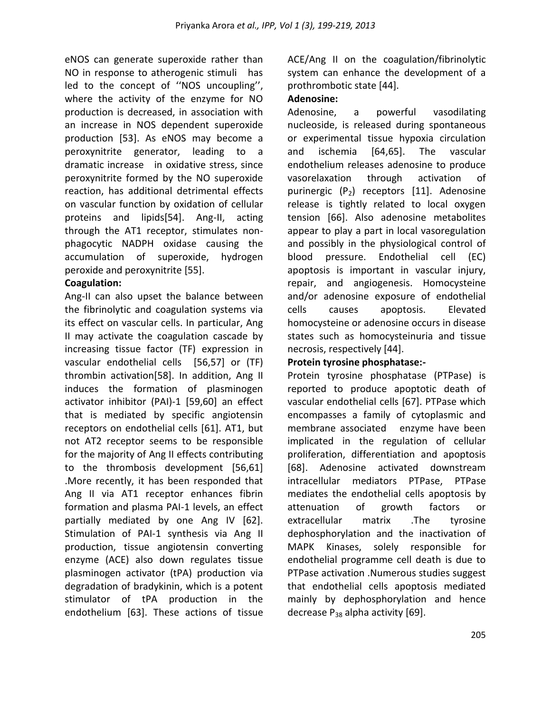eNOS can generate superoxide rather than NO in response to atherogenic stimuli has led to the concept of ''NOS uncoupling'', where the activity of the enzyme for NO production is decreased, in association with an increase in NOS dependent superoxide production [53]. As eNOS may become a peroxynitrite generator, leading to a dramatic increase in oxidative stress, since peroxynitrite formed by the NO superoxide reaction, has additional detrimental effects on vascular function by oxidation of cellular proteins and lipids[54]. Ang-II, acting through the AT1 receptor, stimulates nonphagocytic NADPH oxidase causing the accumulation of superoxide, hydrogen peroxide and peroxynitrite [55].

# **Coagulation:**

Ang-II can also upset the balance between the fibrinolytic and coagulation systems via its effect on vascular cells. In particular, Ang II may activate the coagulation cascade by increasing tissue factor (TF) expression in vascular endothelial cells [56,57] or (TF) thrombin activation[58]. In addition, Ang II induces the formation of plasminogen activator inhibitor (PAI)-1 [59,60] an effect that is mediated by specific angiotensin receptors on endothelial cells [61]. AT1, but not AT2 receptor seems to be responsible for the majority of Ang II effects contributing to the thrombosis development [56,61] .More recently, it has been responded that Ang II via AT1 receptor enhances fibrin formation and plasma PAI-1 levels, an effect partially mediated by one Ang IV [62]. Stimulation of PAI-1 synthesis via Ang II production, tissue angiotensin converting enzyme (ACE) also down regulates tissue plasminogen activator (tPA) production via degradation of bradykinin, which is a potent stimulator of tPA production in the endothelium [63]. These actions of tissue ACE/Ang II on the coagulation/fibrinolytic system can enhance the development of a prothrombotic state [44].

# **Adenosine:**

Adenosine, a powerful vasodilating nucleoside, is released during spontaneous or experimental tissue hypoxia circulation and ischemia [64,65]. The vascular endothelium releases adenosine to produce vasorelaxation through activation of purinergic  $(P_2)$  receptors [11]. Adenosine release is tightly related to local oxygen tension [66]. Also adenosine metabolites appear to play a part in local vasoregulation and possibly in the physiological control of blood pressure. Endothelial cell (EC) apoptosis is important in vascular injury, repair, and angiogenesis. Homocysteine and/or adenosine exposure of endothelial cells causes apoptosis. Elevated homocysteine or adenosine occurs in disease states such as homocysteinuria and tissue necrosis, respectively [44].

# **Protein tyrosine phosphatase:-**

Protein tyrosine phosphatase (PTPase) is reported to produce apoptotic death of vascular endothelial cells [67]. PTPase which encompasses a family of cytoplasmic and membrane associated enzyme have been implicated in the regulation of cellular proliferation, differentiation and apoptosis [68]. Adenosine activated downstream intracellular mediators PTPase, PTPase mediates the endothelial cells apoptosis by attenuation of growth factors or extracellular matrix .The tyrosine dephosphorylation and the inactivation of MAPK Kinases, solely responsible for endothelial programme cell death is due to PTPase activation .Numerous studies suggest that endothelial cells apoptosis mediated mainly by dephosphorylation and hence decrease  $P_{38}$  alpha activity [69].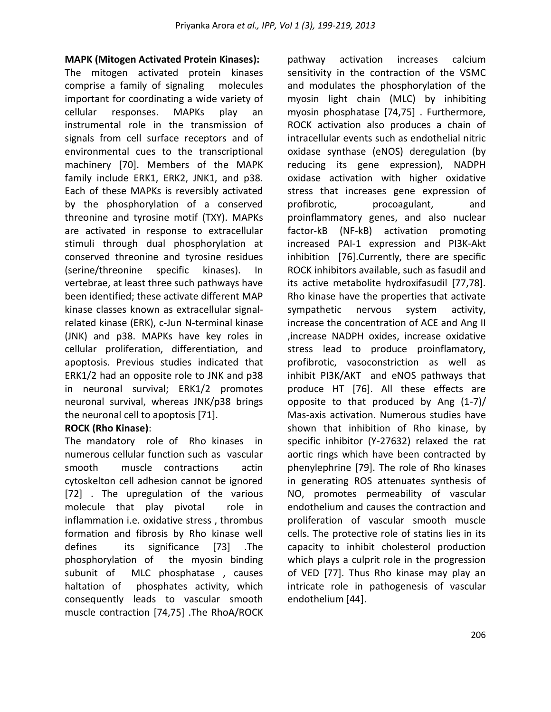## **MAPK (Mitogen Activated Protein Kinases):**

The mitogen activated protein kinases comprise a family of signaling molecules important for coordinating a wide variety of cellular responses. MAPKs play an instrumental role in the transmission of signals from cell surface receptors and of environmental cues to the transcriptional machinery [70]. Members of the MAPK family include ERK1, ERK2, JNK1, and p38. Each of these MAPKs is reversibly activated by the phosphorylation of a conserved threonine and tyrosine motif (TXY). MAPKs are activated in response to extracellular stimuli through dual phosphorylation at conserved threonine and tyrosine residues (serine/threonine specific kinases). In vertebrae, at least three such pathways have been identified; these activate different MAP kinase classes known as extracellular signalrelated kinase (ERK), c-Jun N-terminal kinase (JNK) and p38. MAPKs have key roles in cellular proliferation, differentiation, and apoptosis. Previous studies indicated that ERK1/2 had an opposite role to JNK and p38 in neuronal survival; ERK1/2 promotes neuronal survival, whereas JNK/p38 brings the neuronal cell to apoptosis [71].

# **ROCK (Rho Kinase)**:

The mandatory role of Rho kinases in numerous cellular function such as vascular smooth muscle contractions actin cytoskelton cell adhesion cannot be ignored [72] . The upregulation of the various molecule that play pivotal role in inflammation i.e. oxidative stress , thrombus formation and fibrosis by Rho kinase well defines its significance [73] .The phosphorylation of the myosin binding subunit of MLC phosphatase , causes haltation of phosphates activity, which consequently leads to vascular smooth muscle contraction [74,75] .The RhoA/ROCK

pathway activation increases calcium sensitivity in the contraction of the VSMC and modulates the phosphorylation of the myosin light chain (MLC) by inhibiting myosin phosphatase [74,75] . Furthermore, ROCK activation also produces a chain of intracellular events such as endothelial nitric oxidase synthase (eNOS) deregulation (by reducing its gene expression), NADPH oxidase activation with higher oxidative stress that increases gene expression of profibrotic, procoagulant, and proinflammatory genes, and also nuclear factor-kB (NF-kB) activation promoting increased PAI-1 expression and PI3K-Akt inhibition [76].Currently, there are specific ROCK inhibitors available, such as fasudil and its active metabolite hydroxifasudil [77,78]. Rho kinase have the properties that activate sympathetic nervous system activity, increase the concentration of ACE and Ang II ,increase NADPH oxides, increase oxidative stress lead to produce proinflamatory, profibrotic, vasoconstriction as well as inhibit PI3K/AKT and eNOS pathways that produce HT [76]. All these effects are opposite to that produced by Ang (1-7)/ Mas-axis activation. Numerous studies have shown that inhibition of Rho kinase, by specific inhibitor (Y-27632) relaxed the rat aortic rings which have been contracted by phenylephrine [79]. The role of Rho kinases in generating ROS attenuates synthesis of NO, promotes permeability of vascular endothelium and causes the contraction and proliferation of vascular smooth muscle cells. The protective role of statins lies in its capacity to inhibit cholesterol production which plays a culprit role in the progression of VED [77]. Thus Rho kinase may play an intricate role in pathogenesis of vascular endothelium [44].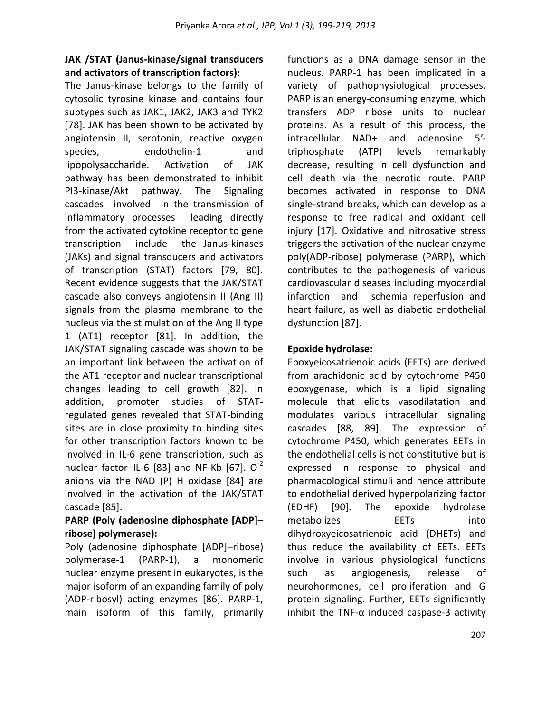# **JAK /STAT (Janus-kinase/signal transducers and activators of transcription factors):**

The Janus-kinase belongs to the family of cytosolic tyrosine kinase and contains four subtypes such as JAK1, JAK2, JAK3 and TYK2 [78]. JAK has been shown to be activated by angiotensin II, serotonin, reactive oxygen species, endothelin-1 and lipopolysaccharide. Activation of JAK pathway has been demonstrated to inhibit PI3-kinase/Akt pathway. The Signaling cascades involved in the transmission of inflammatory processes leading directly from the activated cytokine receptor to gene transcription include the Janus-kinases (JAKs) and signal transducers and activators of transcription (STAT) factors [79, 80]. Recent evidence suggests that the JAK/STAT cascade also conveys angiotensin II (Ang II) signals from the plasma membrane to the nucleus via the stimulation of the Ang II type 1 (AT1) receptor [81]. In addition, the JAK/STAT signaling cascade was shown to be an important link between the activation of the AT1 receptor and nuclear transcriptional changes leading to cell growth [82]. In addition, promoter studies of STATregulated genes revealed that STAT-binding sites are in close proximity to binding sites for other transcription factors known to be involved in IL-6 gene transcription, such as nuclear factor–IL-6 [83] and NF-Kb [67].  $O^{-2}$ anions via the NAD (P) H oxidase [84] are involved in the activation of the JAK/STAT cascade [85].

# **PARP (Poly (adenosine diphosphate [ADP]– ribose) polymerase):**

Poly (adenosine diphosphate [ADP]–ribose) polymerase-1 (PARP-1), a monomeric nuclear enzyme present in eukaryotes, is the major isoform of an expanding family of poly (ADP-ribosyl) acting enzymes [86]. PARP-1, main isoform of this family, primarily

functions as a DNA damage sensor in the nucleus. PARP-1 has been implicated in a variety of pathophysiological processes. PARP is an energy-consuming enzyme, which transfers ADP ribose units to nuclear proteins. As a result of this process, the intracellular NAD+ and adenosine 5′ triphosphate (ATP) levels remarkably decrease, resulting in cell dysfunction and cell death via the necrotic route. PARP becomes activated in response to DNA single-strand breaks, which can develop as a response to free radical and oxidant cell injury [17]. Oxidative and nitrosative stress triggers the activation of the nuclear enzyme poly(ADP-ribose) polymerase (PARP), which contributes to the pathogenesis of various cardiovascular diseases including myocardial infarction and ischemia reperfusion and heart failure, as well as diabetic endothelial dysfunction [87].

# **Epoxide hydrolase:**

Epoxyeicosatrienoic acids (EETs) are derived from arachidonic acid by cytochrome P450 epoxygenase, which is a lipid signaling molecule that elicits vasodilatation and modulates various intracellular signaling cascades [88, 89]. The expression of cytochrome P450, which generates EETs in the endothelial cells is not constitutive but is expressed in response to physical and pharmacological stimuli and hence attribute to endothelial derived hyperpolarizing factor (EDHF) [90]. The epoxide hydrolase metabolizes EETs into dihydroxyeicosatrienoic acid (DHETs) and thus reduce the availability of EETs. EETs involve in various physiological functions such as angiogenesis, release of neurohormones, cell proliferation and G protein signaling. Further, EETs significantly inhibit the TNF- $\alpha$  induced caspase-3 activity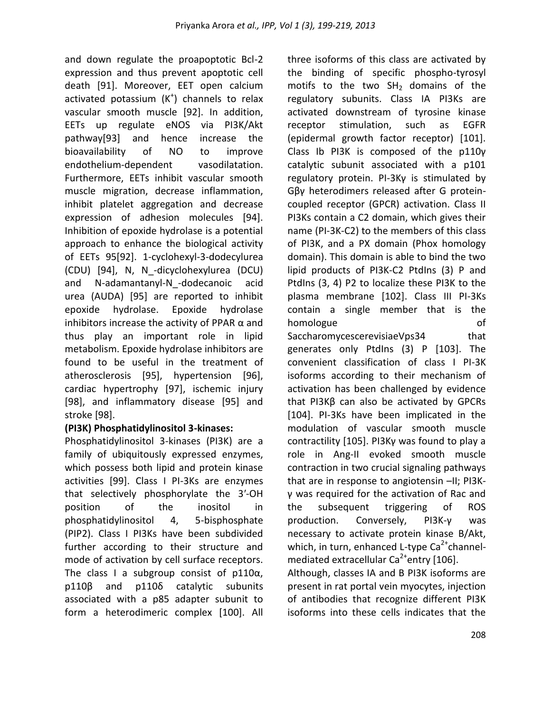and down regulate the proapoptotic Bcl-2 expression and thus prevent apoptotic cell death [91]. Moreover, EET open calcium activated potassium  $(K^+)$  channels to relax vascular smooth muscle [92]. In addition, EETs up regulate eNOS via PI3K/Akt pathway[93] and hence increase the bioavailability of NO to improve endothelium-dependent vasodilatation. Furthermore, EETs inhibit vascular smooth muscle migration, decrease inflammation, inhibit platelet aggregation and decrease expression of adhesion molecules [94]. Inhibition of epoxide hydrolase is a potential approach to enhance the biological activity of EETs 95[92]. 1-cyclohexyl-3-dodecylurea (CDU) [94], N, N\_-dicyclohexylurea (DCU) and N-adamantanyl-N-dodecanoic acid urea (AUDA) [95] are reported to inhibit epoxide hydrolase. Epoxide hydrolase inhibitors increase the activity of PPAR  $\alpha$  and thus play an important role in lipid metabolism. Epoxide hydrolase inhibitors are found to be useful in the treatment of atherosclerosis [95], hypertension [96], cardiac hypertrophy [97], ischemic injury [98], and inflammatory disease [95] and stroke [98].

# **(PI3K) Phosphatidylinositol 3-kinases:**

Phosphatidylinositol 3-kinases (PI3K) are a family of ubiquitously expressed enzymes, which possess both lipid and protein kinase activities [99]. Class I PI-3Ks are enzymes that selectively phosphorylate the 3′-OH position of the inositol in phosphatidylinositol 4, 5-bisphosphate (PIP2). Class I PI3Ks have been subdivided further according to their structure and mode of activation by cell surface receptors. The class I a subgroup consist of  $p110\alpha$ , p110β and p110δ catalytic subunits associated with a p85 adapter subunit to form a heterodimeric complex [100]. All three isoforms of this class are activated by the binding of specific phospho-tyrosyl motifs to the two  $SH<sub>2</sub>$  domains of the regulatory subunits. Class IA PI3Ks are activated downstream of tyrosine kinase receptor stimulation, such as EGFR (epidermal growth factor receptor) [101]. Class Ib PI3K is composed of the p110γ catalytic subunit associated with a p101 regulatory protein. PI-3Kγ is stimulated by Gβγ heterodimers released after G proteincoupled receptor (GPCR) activation. Class II PI3Ks contain a C2 domain, which gives their name (PI-3K-C2) to the members of this class of PI3K, and a PX domain (Phox homology domain). This domain is able to bind the two lipid products of PI3K-C2 PtdIns (3) P and PtdIns (3, 4) P2 to localize these PI3K to the plasma membrane [102]. Class III PI-3Ks contain a single member that is the homologue of SaccharomycescerevisiaeVps34 that generates only PtdIns (3) P [103]. The convenient classification of class I PI-3K

isoforms according to their mechanism of activation has been challenged by evidence that PI3Kβ can also be activated by GPCRs [104]. PI-3Ks have been implicated in the modulation of vascular smooth muscle contractility [105]. PI3Kγ was found to play a role in Ang-II evoked smooth muscle contraction in two crucial signaling pathways that are in response to angiotensin –II; PI3Kγ was required for the activation of Rac and the subsequent triggering of ROS production. Conversely, PI3K-γ was necessary to activate protein kinase B/Akt, which, in turn, enhanced L-type  $\text{Ca}^{2+}$ channelmediated extracellular Ca<sup>2+</sup>entry [106].

Although, classes IA and B PI3K isoforms are present in rat portal vein myocytes, injection of antibodies that recognize different PI3K isoforms into these cells indicates that the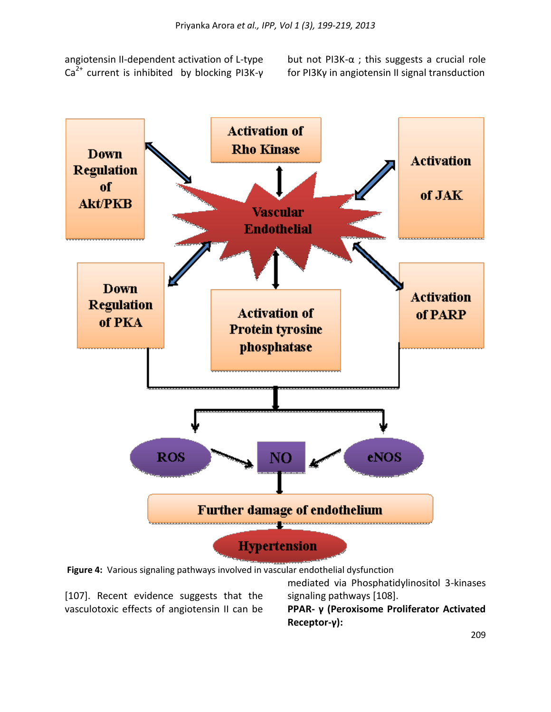angiotensin II-dependent activation of L-type  $Ca<sup>2+</sup>$  current is inhibited by blocking PI3K-γ but not PI3K-α ; this suggests a crucial role for PI3Kγ in angiotensin II signal transduction



**Figure 4:** Various signaling pathways involved in vascular endothelial dysfunction

[107]. Recent evidence suggests that the vasculotoxic effects of angiotensin II can be

mediated via Phosphatidylinositol 3-kinases signaling pathways [108].

**PPAR- γ (Peroxisome Proliferator Activated Receptor-γ):**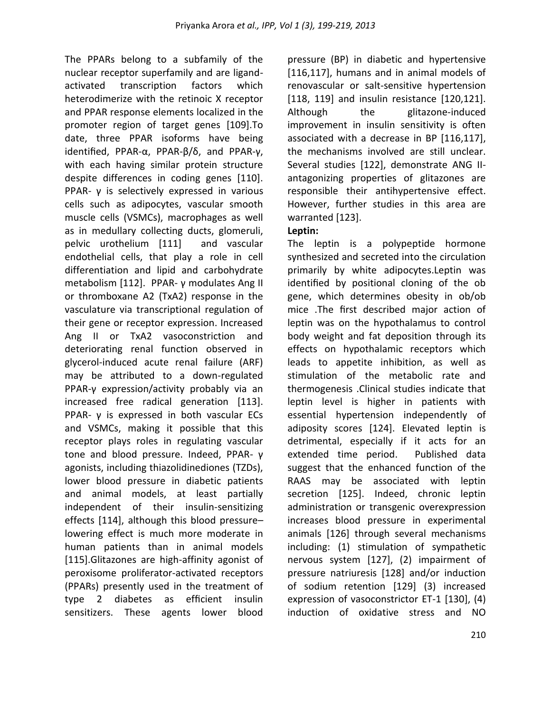The PPARs belong to a subfamily of the nuclear receptor superfamily and are ligandactivated transcription factors which heterodimerize with the retinoic X receptor and PPAR response elements localized in the promoter region of target genes [109].To date, three PPAR isoforms have being identified, PPAR-α, PPAR-β/δ, and PPAR-γ, with each having similar protein structure despite differences in coding genes [110]. PPAR-  $\gamma$  is selectively expressed in various cells such as adipocytes, vascular smooth muscle cells (VSMCs), macrophages as well as in medullary collecting ducts, glomeruli, pelvic urothelium [111] and vascular endothelial cells, that play a role in cell differentiation and lipid and carbohydrate metabolism [112]. PPAR- γ modulates Ang II or thromboxane A2 (TxA2) response in the vasculature via transcriptional regulation of their gene or receptor expression. Increased Ang II or TxA2 vasoconstriction and deteriorating renal function observed in glycerol-induced acute renal failure (ARF) may be attributed to a down-regulated PPAR-γ expression/activity probably via an increased free radical generation [113]. PPAR- γ is expressed in both vascular ECs and VSMCs, making it possible that this receptor plays roles in regulating vascular tone and blood pressure. Indeed, PPAR- γ agonists, including thiazolidinediones (TZDs), lower blood pressure in diabetic patients and animal models, at least partially independent of their insulin-sensitizing effects [114], although this blood pressure– lowering effect is much more moderate in human patients than in animal models [115].Glitazones are high-affinity agonist of peroxisome proliferator-activated receptors (PPARs) presently used in the treatment of type 2 diabetes as efficient insulin sensitizers. These agents lower blood

pressure (BP) in diabetic and hypertensive [116,117], humans and in animal models of renovascular or salt-sensitive hypertension [118, 119] and insulin resistance [120,121]. Although the glitazone-induced improvement in insulin sensitivity is often associated with a decrease in BP [116,117], the mechanisms involved are still unclear. Several studies [122], demonstrate ANG IIantagonizing properties of glitazones are responsible their antihypertensive effect. However, further studies in this area are warranted [123].

# **Leptin:**

The leptin is a polypeptide hormone synthesized and secreted into the circulation primarily by white adipocytes.Leptin was identified by positional cloning of the ob gene, which determines obesity in ob/ob mice .The first described major action of leptin was on the hypothalamus to control body weight and fat deposition through its effects on hypothalamic receptors which leads to appetite inhibition, as well as stimulation of the metabolic rate and thermogenesis .Clinical studies indicate that leptin level is higher in patients with essential hypertension independently of adiposity scores [124]. Elevated leptin is detrimental, especially if it acts for an extended time period. Published data suggest that the enhanced function of the RAAS may be associated with leptin secretion [125]. Indeed, chronic leptin administration or transgenic overexpression increases blood pressure in experimental animals [126] through several mechanisms including: (1) stimulation of sympathetic nervous system [127], (2) impairment of pressure natriuresis [128] and/or induction of sodium retention [129] (3) increased expression of vasoconstrictor ET-1 [130], (4) induction of oxidative stress and NO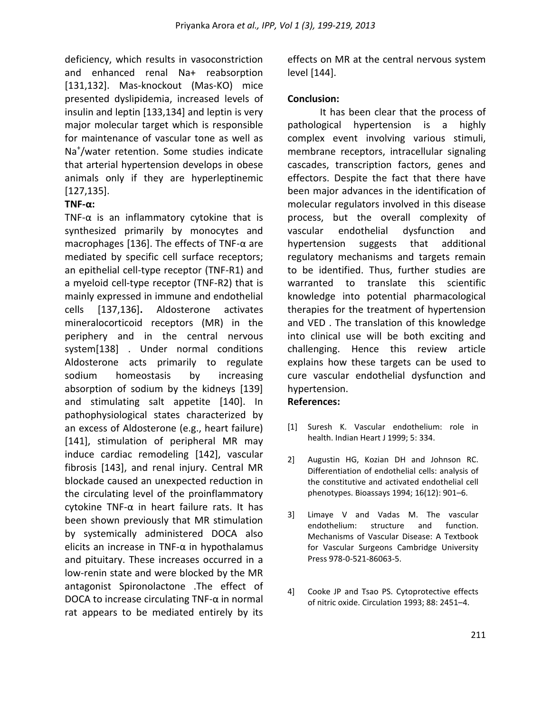deficiency, which results in vasoconstriction and enhanced renal Na+ reabsorption [131,132]. Mas-knockout (Mas-KO) mice presented dyslipidemia, increased levels of insulin and leptin [133,134] and leptin is very major molecular target which is responsible for maintenance of vascular tone as well as Na<sup>+</sup> /water retention. Some studies indicate that arterial hypertension develops in obese animals only if they are hyperleptinemic [127,135].

# **TNF-α:**

TNF- $\alpha$  is an inflammatory cytokine that is synthesized primarily by monocytes and macrophages [136]. The effects of TNF-α are mediated by specific cell surface receptors; an epithelial cell-type receptor (TNF-R1) and a myeloid cell-type receptor (TNF-R2) that is mainly expressed in immune and endothelial cells [137,136]**.** Aldosterone activates mineralocorticoid receptors (MR) in the periphery and in the central nervous system[138] . Under normal conditions Aldosterone acts primarily to regulate sodium homeostasis by increasing absorption of sodium by the kidneys [139] and stimulating salt appetite [140]. In pathophysiological states characterized by an excess of Aldosterone (e.g., heart failure) [141], stimulation of peripheral MR may induce cardiac remodeling [142], vascular fibrosis [143], and renal injury. Central MR blockade caused an unexpected reduction in the circulating level of the proinflammatory cytokine TNF-α in heart failure rats. It has been shown previously that MR stimulation by systemically administered DOCA also elicits an increase in TNF- $\alpha$  in hypothalamus and pituitary. These increases occurred in a low-renin state and were blocked by the MR antagonist Spironolactone .The effect of DOCA to increase circulating TNF- $\alpha$  in normal rat appears to be mediated entirely by its

effects on MR at the central nervous system level [144].

## **Conclusion:**

It has been clear that the process of pathological hypertension is a highly complex event involving various stimuli, membrane receptors, intracellular signaling cascades, transcription factors, genes and effectors. Despite the fact that there have been major advances in the identification of molecular regulators involved in this disease process, but the overall complexity of vascular endothelial dysfunction and hypertension suggests that additional regulatory mechanisms and targets remain to be identified. Thus, further studies are warranted to translate this scientific knowledge into potential pharmacological therapies for the treatment of hypertension and VED . The translation of this knowledge into clinical use will be both exciting and challenging. Hence this review article explains how these targets can be used to cure vascular endothelial dysfunction and hypertension.

## **References:**

- [1] Suresh K. Vascular endothelium: role in health. Indian Heart J 1999; 5: 334.
- 2] Augustin HG, Kozian DH and Johnson RC. Differentiation of endothelial cells: analysis of the constitutive and activated endothelial cell phenotypes. Bioassays 1994; 16(12): 901–6.
- 3] Limaye V and Vadas M. The vascular endothelium: structure and function. Mechanisms of Vascular Disease: A Textbook for Vascular Surgeons Cambridge University Press 978-0-521-86063-5.
- 4] Cooke JP and Tsao PS. Cytoprotective effects of nitric oxide. Circulation 1993; 88: 2451–4.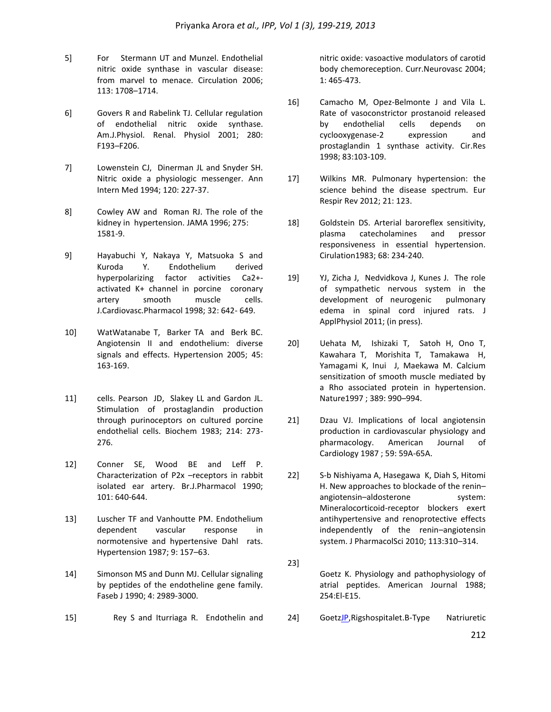- 5] For Stermann UT and Munzel. Endothelial nitric oxide synthase in vascular disease: from marvel to menace. Circulation 2006; 113: 1708–1714.
- 6] Govers R and Rabelink TJ. Cellular regulation of endothelial nitric oxide synthase. Am.J.Physiol. Renal. Physiol 2001; 280: F193–F206.
- 7] Lowenstein CJ, Dinerman JL and Snyder SH. Nitric oxide a physiologic messenger. Ann Intern Med 1994; 120: 227-37.
- 8] Cowley AW and Roman RJ. The role of the kidney in hypertension. JAMA 1996; 275: 1581-9.
- 9] Hayabuchi Y, Nakaya Y, Matsuoka S and Kuroda Y. Endothelium derived hyperpolarizing factor activities Ca2+ activated K+ channel in porcine coronary artery smooth muscle cells. J.Cardiovasc.Pharmacol 1998; 32: 642- 649.
- 10] WatWatanabe T, Barker TA and Berk BC. Angiotensin II and endothelium: diverse signals and effects. Hypertension 2005; 45: 163-169.
- 11] cells. Pearson JD, Slakey LL and Gardon JL. Stimulation of prostaglandin production through purinoceptors on cultured porcine endothelial cells. Biochem 1983; 214: 273- 276.
- 12] Conner SE, Wood BE and Leff P. Characterization of P2x –receptors in rabbit isolated ear artery. Br.J.Pharmacol 1990; 101: 640-644.
- 13] Luscher TF and Vanhoutte PM. Endothelium dependent vascular response in normotensive and hypertensive Dahl rats. Hypertension 1987; 9: 157–63.
- 14] Simonson MS and Dunn MJ. Cellular signaling by peptides of the endotheline gene family. Faseb J 1990; 4: 2989-3000.
- 15] Rey S and Iturriaga R. Endothelin and

nitric oxide: vasoactive modulators of carotid body chemoreception. Curr.Neurovasc 2004; 1: 465-473.

- 16] Camacho M, Opez-Belmonte J and Vila L. Rate of vasoconstrictor prostanoid released by endothelial cells depends on cyclooxygenase-2 expression and prostaglandin 1 synthase activity. Cir.Res 1998; 83:103-109.
- 17] Wilkins MR. Pulmonary hypertension: the science behind the disease spectrum. Eur Respir Rev 2012; 21: 123.
- 18] Goldstein DS. Arterial baroreflex sensitivity, plasma catecholamines and pressor responsiveness in essential hypertension. Cirulation1983; 68: 234-240.
- 19] YJ, Zicha J, Nedvidkova J, Kunes J. The role of sympathetic nervous system in the development of neurogenic pulmonary edema in spinal cord injured rats. J ApplPhysiol 2011; (in press).
- 20] Uehata M, Ishizaki T, Satoh H, Ono T, Kawahara T, Morishita T, Tamakawa H, Yamagami K, Inui J, Maekawa M. Calcium sensitization of smooth muscle mediated by a Rho associated protein in hypertension. Nature1997 ; 389: 990–994.
- 21] Dzau VJ. Implications of local angiotensin production in cardiovascular physiology and pharmacology. American Journal of Cardiology 1987 ; 59: 59A-65A.
- 22] S-b Nishiyama A, Hasegawa K, Diah S, Hitomi H. New approaches to blockade of the renin– angiotensin-aldosterone system: Mineralocorticoid-receptor blockers exert antihypertensive and renoprotective effects independently of the renin–angiotensin system. J PharmacolSci 2010; 113:310–314.
- 23]

Goetz K. Physiology and pathophysiology of atrial peptides. American Journal 1988; 254:El-E15.

24] Goet[zJP,](http://www.clinchem.org/search?author1=Jens+P.+Goetze&sortspec=date&submit=Submit) Rigshospitalet. B-Type Natriuretic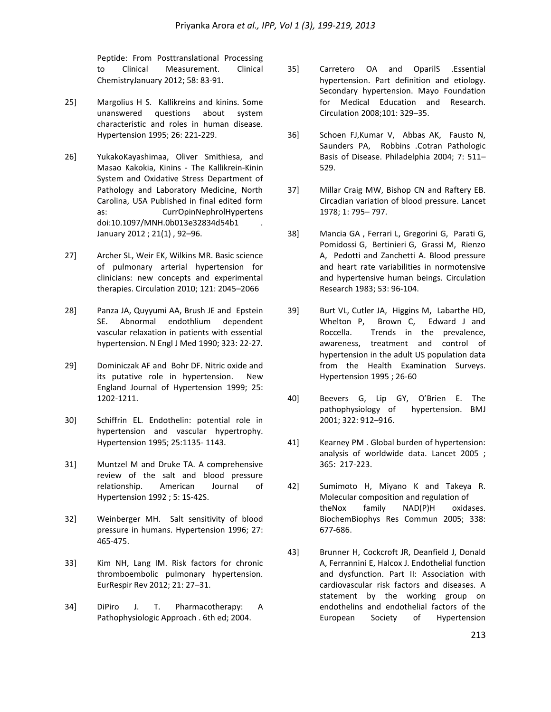Peptide: From Posttranslational Processing to Clinical Measurement. Clinical ChemistryJanuary 2012; 58: 83-91.

- 25] Margolius H S. Kallikreins and kinins. Some unanswered questions about system characteristic and roles in human disease. Hypertension 1995; 26: 221-229.
- 26] YukakoKayashimaa, Oliver Smithiesa, and Masao Kakokia, Kinins - The Kallikrein-Kinin System and Oxidative Stress Department of Pathology and Laboratory Medicine, North Carolina, USA Published in final edited form as: CurrOpinNephrolHypertens doi:10.1097/MNH.0b013e32834d54b1 . January 2012 ; 21(1) , 92–96.
- 27] Archer SL, Weir EK, Wilkins MR. Basic science of pulmonary arterial hypertension for clinicians: new concepts and experimental therapies. Circulation 2010; 121: 2045–2066
- 28] Panza JA, Quyyumi AA, Brush JE and Epstein SE. Abnormal endothlium dependent vascular relaxation in patients with essential hypertension. N Engl J Med 1990; 323: 22-27.
- 29] Dominiczak AF and Bohr DF. Nitric oxide and its putative role in hypertension. New England Journal of Hypertension 1999; 25: 1202-1211.
- 30] Schiffrin EL. Endothelin: potential role in hypertension and vascular hypertrophy. Hypertension 1995; 25:1135- 1143.
- 31] Muntzel M and Druke TA. A comprehensive review of the salt and blood pressure relationship. American Journal of Hypertension 1992 ; 5: 1S-42S.
- 32] Weinberger MH. Salt sensitivity of blood pressure in humans. Hypertension 1996; 27: 465-475.
- 33] Kim NH, Lang IM. Risk factors for chronic thromboembolic pulmonary hypertension. EurRespir Rev 2012; 21: 27–31.
- 34] DiPiro J. T. Pharmacotherapy: A Pathophysiologic Approach . 6th ed; 2004.
- 35] Carretero OA and OparilS .Essential hypertension. Part definition and etiology. Secondary hypertension. Mayo Foundation for Medical Education and Research. Circulation 2008;101: 329–35.
- 36] Schoen FJ,Kumar V, Abbas AK, Fausto N, Saunders PA, Robbins .Cotran Pathologic Basis of Disease. Philadelphia 2004; 7: 511– 529.
- 37] Millar Craig MW, Bishop CN and Raftery EB. Circadian variation of blood pressure. Lancet 1978; 1: 795– 797.
- 38] Mancia GA , Ferrari L, Gregorini G, Parati G, Pomidossi G, Bertinieri G, Grassi M, Rienzo A, Pedotti and Zanchetti A. Blood pressure and heart rate variabilities in normotensive and hypertensive human beings. Circulation Research 1983; 53: 96-104.
- 39] Burt VL, Cutler JA, Higgins M, Labarthe HD, Whelton P, Brown C, Edward J and Roccella. Trends in the prevalence, awareness, treatment and control of hypertension in the adult US population data from the Health Examination Surveys. Hypertension 1995 ; 26-60
- 40] Beevers G, Lip GY, O'Brien E. The pathophysiology of hypertension. BMJ 2001; 322: 912–916.
- 41] Kearney PM . Global burden of hypertension: analysis of worldwide data. Lancet 2005 ; 365: 217-223.
- 42] Sumimoto H, Miyano K and Takeya R. Molecular composition and regulation of theNox family NAD(P)H oxidases. BiochemBiophys Res Commun 2005; 338: 677-686.
- 43] Brunner H, Cockcroft JR, Deanfield J, Donald A, Ferrannini E, Halcox J. Endothelial function and dysfunction. Part II: Association with cardiovascular risk factors and diseases. A statement by the working group on endothelins and endothelial factors of the European Society of Hypertension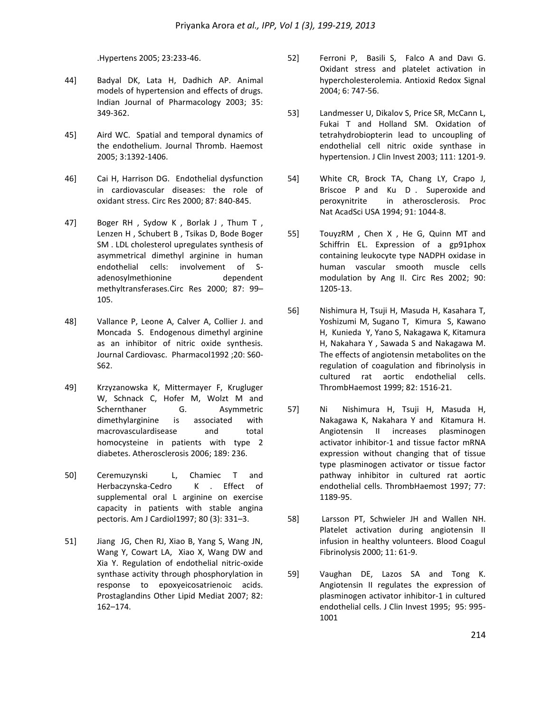.Hypertens 2005; 23:233-46.

- 44] Badyal DK, Lata H, Dadhich AP. Animal models of hypertension and effects of drugs. Indian Journal of Pharmacology 2003; 35: 349-362.
- 45] Aird WC. Spatial and temporal dynamics of the endothelium. Journal Thromb. Haemost 2005; 3:1392-1406.
- 46] Cai H, Harrison DG. Endothelial dysfunction in cardiovascular diseases: the role of oxidant stress. Circ Res 2000; 87: 840-845.
- 47] Boger RH , Sydow K , Borlak J , Thum T , Lenzen H , Schubert B , Tsikas D, Bode Boger SM . [LDL cholesterol upregulates synthesis of](http://circres.ahajournals.org/cgi/content/full/87/2/99)  [asymmetrical dimethyl arginine in human](http://circres.ahajournals.org/cgi/content/full/87/2/99)  [endothelial cells: involvement of S](http://circres.ahajournals.org/cgi/content/full/87/2/99)adenosylmethionine dependent [methyltransferases.C](http://circres.ahajournals.org/cgi/content/full/87/2/99)irc Res 2000; 87: 99– 105.
- 48] Vallance P, Leone A, Calver A, Collier J. and Moncada S. Endogenous dimethyl arginine as an inhibitor of nitric oxide synthesis. Journal Cardiovasc. Pharmacol1992 ;20: S60- S62.
- 49] Krzyzanowska K, Mittermayer F, Krugluger W, Schnack C, Hofer M, Wolzt M and Schernthaner G. Asymmetric dimethylarginine is associated with macrovasculardisease and total homocysteine in patients with type 2 diabetes. Atherosclerosis 2006; 189: 236.
- 50] Ceremuzynski L, Chamiec T and Herbaczynska-Cedro K . Effect of supplemental oral L arginine on exercise capacity in patients with stable angina pectoris. Am J Cardiol1997; 80 (3): 331–3.
- 51] Jiang JG, Chen RJ, Xiao B, Yang S, Wang JN, Wang Y, Cowart LA, Xiao X, Wang DW and Xia Y. Regulation of endothelial nitric-oxide synthase activity through phosphorylation in response to epoxyeicosatrienoic acids. Prostaglandins Other Lipid Mediat 2007; 82: 162–174.
- 52] Ferroni P, Basili S, Falco A and Davı G. Oxidant stress and platelet activation in hypercholesterolemia. Antioxid Redox Signal 2004; 6: 747-56.
- 53] Landmesser U, Dikalov S, Price SR, McCann L, Fukai T and Holland SM. Oxidation of tetrahydrobiopterin lead to uncoupling of endothelial cell nitric oxide synthase in hypertension. J Clin Invest 2003; 111: 1201-9.
- 54] White CR, Brock TA, Chang LY, Crapo J, Briscoe P and Ku D . Superoxide and peroxynitrite in atherosclerosis. Proc Nat AcadSci USA 1994; 91: 1044-8.
- 55] TouyzRM , Chen X , He G, Quinn MT and Schiffrin EL. Expression of a gp91phox containing leukocyte type NADPH oxidase in human vascular smooth muscle cells modulation by Ang II. Circ Res 2002; 90: 1205-13.
- 56] Nishimura H, Tsuji H, Masuda H, Kasahara T, Yoshizumi M, Sugano T, [Kimura S,](http://www.ncbi.nlm.nih.gov/pubmed?term=%22Kimura%20S%22%5BAuthor%5D) [Kawano](http://www.ncbi.nlm.nih.gov/pubmed?term=%22Kawano%20H%22%5BAuthor%5D)  [H,](http://www.ncbi.nlm.nih.gov/pubmed?term=%22Kawano%20H%22%5BAuthor%5D) [Kunieda Y,](http://www.ncbi.nlm.nih.gov/pubmed?term=%22Kunieda%20Y%22%5BAuthor%5D) [Yano S,](http://www.ncbi.nlm.nih.gov/pubmed?term=%22Yano%20S%22%5BAuthor%5D) [Nakagawa K,](http://www.ncbi.nlm.nih.gov/pubmed?term=%22Nakagawa%20K%22%5BAuthor%5D) [Kitamura](http://www.ncbi.nlm.nih.gov/pubmed?term=%22Kitamura%20H%22%5BAuthor%5D)  [H,](http://www.ncbi.nlm.nih.gov/pubmed?term=%22Kitamura%20H%22%5BAuthor%5D) [Nakahara Y](http://www.ncbi.nlm.nih.gov/pubmed?term=%22Nakahara%20Y%22%5BAuthor%5D) , [Sawada S](http://www.ncbi.nlm.nih.gov/pubmed?term=%22Sawada%20S%22%5BAuthor%5D) and [Nakagawa M.](http://www.ncbi.nlm.nih.gov/pubmed?term=%22Nakagawa%20M%22%5BAuthor%5D) The effects of angiotensin metabolites on the regulation of coagulation and fibrinolysis in cultured rat aortic endothelial cells. ThrombHaemost 1999; 82: 1516-21.
- 57] Ni Nishimura H, Tsuji H, Masuda H, Nakagawa K, Nakahara Y and Kitamura H. Angiotensin II increases plasminogen activator inhibitor-1 and tissue factor mRNA expression without changing that of tissue type plasminogen activator or tissue factor pathway inhibitor in cultured rat aortic endothelial cells. ThrombHaemost 1997; 77: 1189-95.
- 58] Larsson PT, Schwieler JH and Wallen NH. Platelet activation during angiotensin II infusion in healthy volunteers. Blood Coagul Fibrinolysis 2000; 11: 61-9.
- 59] Vaughan DE, Lazos SA and Tong K. Angiotensin II regulates the expression of plasminogen activator inhibitor-1 in cultured endothelial cells. J Clin Invest 1995; 95: 995- 1001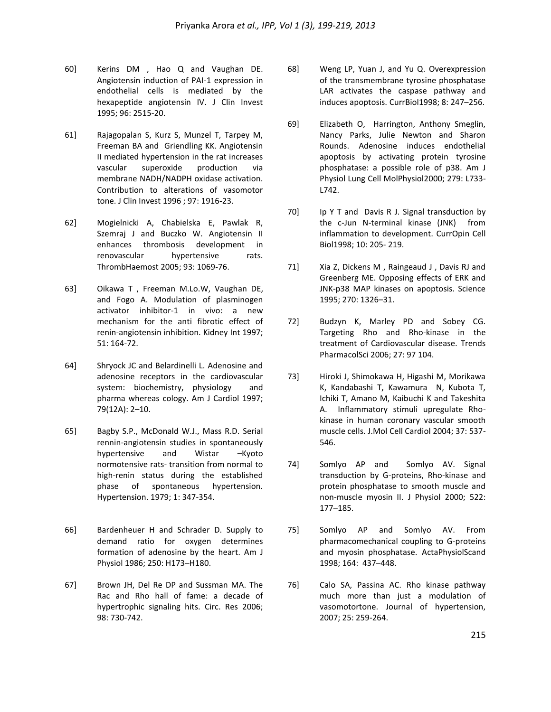- 60] Kerins DM , Hao Q and Vaughan DE. Angiotensin induction of PAI-1 expression in endothelial cells is mediated by the hexapeptide angiotensin IV. J Clin Invest 1995; 96: 2515-20.
- 61] Rajagopalan S, Kurz S, Munzel T, Tarpey M, Freeman BA and Griendling KK. Angiotensin II mediated hypertension in the rat increases vascular superoxide production via membrane NADH/NADPH oxidase activation. Contribution to alterations of vasomotor tone. J Clin Invest 1996 ; 97: 1916-23.
- 62] Mogielnicki A, Chabielska E, Pawlak R, Szemraj J and Buczko W. Angiotensin II enhances thrombosis development in renovascular hypertensive rats. ThrombHaemost 2005; 93: 1069-76.
- 63] Oikawa T , Freeman M.Lo.W, Vaughan DE, and Fogo A. Modulation of plasminogen activator inhibitor-1 in vivo: a new mechanism for the anti fibrotic effect of renin-angiotensin inhibition. Kidney Int 1997; 51: 164-72.
- 64] Shryock JC and Belardinelli L. Adenosine and adenosine receptors in the cardiovascular system: biochemistry, physiology and pharma whereas cology. Am J Cardiol 1997; 79(12A): 2–10.
- 65] Bagby S.P., McDonald W.J., Mass R.D. Serial rennin-angiotensin studies in spontaneously hypertensive and Wistar –Kyoto normotensive rats- transition from normal to high-renin status during the established phase of spontaneous hypertension. Hypertension. 1979; 1: 347-354.
- 66] Bardenheuer H and Schrader D. Supply to demand ratio for oxygen determines formation of adenosine by the heart. Am J Physiol 1986; 250: H173–H180.
- 67] Brown JH, Del Re DP and Sussman MA. The Rac and Rho hall of fame: a decade of hypertrophic signaling hits. Circ. Res 2006; 98: 730-742.
- 68] Weng LP, Yuan J, and Yu Q. Overexpression of the transmembrane tyrosine phosphatase LAR activates the caspase pathway and induces apoptosis. CurrBiol1998; 8: 247–256.
- 69] Elizabeth O, Harrington, Anthony Smeglin, Nancy Parks, Julie Newton and Sharon Rounds. Adenosine induces endothelial apoptosis by activating protein tyrosine phosphatase: a possible role of p38. Am J Physiol Lung Cell MolPhysiol2000; 279: L733- L742.
- 70] Ip Y T and Davis R J. Signal transduction by the c-Jun N-terminal kinase (JNK) from inflammation to development. CurrOpin Cell Biol1998; 10: 205- 219.
- 71] Xia Z, Dickens M , Raingeaud J , Davis RJ and Greenberg ME. Opposing effects of ERK and JNK-p38 MAP kinases on apoptosis. Science 1995; 270: 1326–31.
- 72] Budzyn K, Marley PD and Sobey CG. Targeting Rho and Rho-kinase in the treatment of Cardiovascular disease. Trends PharmacolSci 2006; 27: 97 104.
- 73] Hiroki J, Shimokawa H, Higashi M, Morikawa K, Kandabashi T, Kawamura N, Kubota T, Ichiki T, Amano M, Kaibuchi K and Takeshita A. Inflammatory stimuli upregulate Rhokinase in human coronary vascular smooth muscle cells. J.Mol Cell Cardiol 2004; 37: 537- 546.
- 74] Somlyo AP and Somlyo AV. Signal transduction by G-proteins, Rho-kinase and protein phosphatase to smooth muscle and non-muscle myosin II. J Physiol 2000; 522: 177–185.
- 75] Somlyo AP and Somlyo AV. From pharmacomechanical coupling to G-proteins and myosin phosphatase. ActaPhysiolScand 1998; 164: 437–448.
- 76] Calo SA, Passina AC. Rho kinase pathway much more than just a modulation of vasomotortone. Journal of hypertension, 2007; 25: 259-264.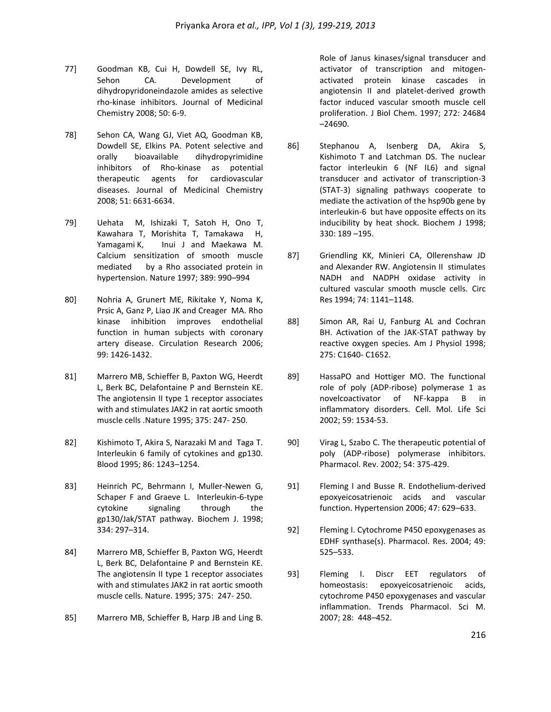- 77] Goodman KB, Cui H, Dowdell SE, Ivy RL, Sehon CA. Development of dihydropyridoneindazole amides as selective rho-kinase inhibitors. Journal of Medicinal Chemistry 2008; 50: 6-9.
- 78] Sehon CA, Wang GJ, Viet AQ, Goodman KB, Dowdell SE, Elkins PA. Potent selective and orally bioavailable dihydropyrimidine inhibitors of Rho-kinase as potential therapeutic agents for cardiovascular diseases. Journal of Medicinal Chemistry 2008; 51: 6631-6634.
- 79] Uehata M, Ishizaki T, Satoh H, Ono T, Kawahara T, Morishita T, Tamakawa H, Yamagami K, Inui J and Maekawa M. Calcium sensitization of smooth muscle mediated by a Rho associated protein in hypertension. Nature 1997; 389: 990–994
- 80] Nohria A, Grunert ME, Rikitake Y, Noma K, Prsic A, Ganz P, Liao JK and Creager MA. Rho kinase inhibition improves endothelial function in human subjects with coronary artery disease. Circulation Research 2006; 99: 1426-1432.
- 81] Marrero MB, Schieffer B, Paxton WG, Heerdt L, Berk BC, Delafontaine P and Bernstein KE. The angiotensin II type 1 receptor associates with and stimulates JAK2 in rat aortic smooth muscle cells .Nature 1995; 375: 247- 250.
- 82] Kishimoto T, Akira S, Narazaki M and Taga T. Interleukin 6 family of cytokines and gp130. Blood 1995; 86: 1243–1254.
- 83] Heinrich PC, Behrmann I, Muller-Newen G, Schaper F and Graeve L. Interleukin-6-type cytokine signaling through the gp130/Jak/STAT pathway. Biochem J. 1998; 334: 297–314.
- 84] Marrero MB, Schieffer B, Paxton WG, Heerdt L, Berk BC, Delafontaine P and Bernstein KE. The angiotensin II type 1 receptor associates with and stimulates JAK2 in rat aortic smooth muscle cells. Nature. 1995; 375: 247- 250.
- 85] Marrero MB, Schieffer B, Harp JB and Ling B.

Role of Janus kinases/signal transducer and activator of transcription and mitogenactivated protein kinase cascades in angiotensin II and platelet-derived growth factor induced vascular smooth muscle cell proliferation. J Biol Chem. 1997; 272: 24684 –24690.

- 86] Stephanou A, Isenberg DA, Akira S, Kishimoto T and Latchman DS. The nuclear factor interleukin 6 (NF IL6) and signal transducer and activator of transcription-3 (STAT-3) signaling pathways cooperate to mediate the activation of the hsp90b gene by interleukin-6 but have opposite effects on its inducibility by heat shock. Biochem J 1998; 330: 189 –195.
- 87] Griendling KK, Minieri CA, Ollerenshaw JD and Alexander RW. Angiotensin II stimulates NADH and NADPH oxidase activity in cultured vascular smooth muscle cells. Circ Res 1994; 74: 1141–1148.
- 88] Simon AR, Rai U, Fanburg AL and Cochran BH. Activation of the JAK-STAT pathway by reactive oxygen species. Am J Physiol 1998; 275: C1640- C1652.
- 89] HassaPO and Hottiger MO. The functional role of poly (ADP-ribose) polymerase 1 as novelcoactivator of NF-kappa B in inflammatory disorders. Cell. Mol. Life Sci 2002; 59: 1534-53.
- 90] Virag L, Szabo C. The therapeutic potential of poly (ADP-ribose) polymerase inhibitors. Pharmacol. Rev. 2002; 54: 375-429.
- 91] Fleming I and Busse R. Endothelium-derived epoxyeicosatrienoic acids and vascular function. Hypertension 2006; 47: 629–633.
- 92] Fleming I. Cytochrome P450 epoxygenases as EDHF synthase(s). Pharmacol. Res. 2004; 49: 525–533.
- 93] Fleming I. Discr EET regulators of homeostasis: epoxyeicosatrienoic acids, cytochrome P450 epoxygenases and vascular inflammation. Trends Pharmacol. Sci M. 2007; 28: 448–452.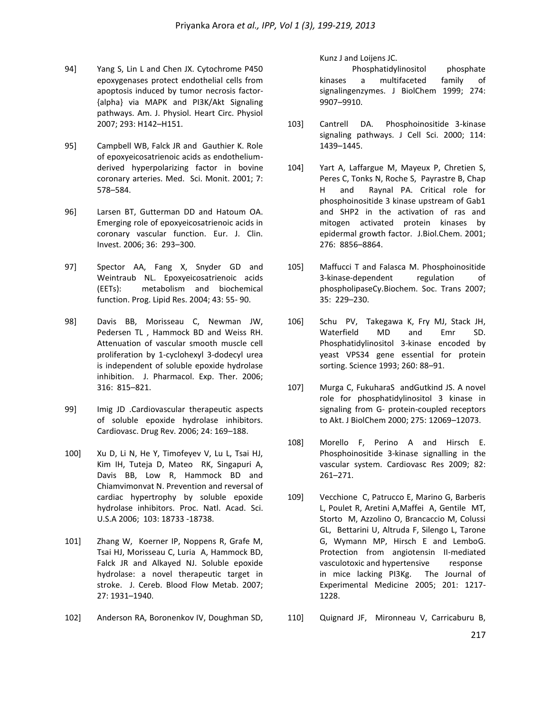- 94] Yang S, Lin L and Chen JX. Cytochrome P450 epoxygenases protect endothelial cells from apoptosis induced by tumor necrosis factor- {alpha} via MAPK and PI3K/Akt Signaling pathways. Am. J. Physiol. Heart Circ. Physiol 2007; 293: H142–H151.
- 95] Campbell WB, Falck JR and Gauthier K. Role of epoxyeicosatrienoic acids as endotheliumderived hyperpolarizing factor in bovine coronary arteries. Med. Sci. Monit. 2001; 7: 578–584.
- 96] Larsen BT, Gutterman DD and Hatoum OA. Emerging role of epoxyeicosatrienoic acids in coronary vascular function. Eur. J. Clin. Invest. 2006; 36: 293–300.
- 97] Spector AA, Fang X, Snyder GD and Weintraub NL. Epoxyeicosatrienoic acids (EETs): metabolism and biochemical function. Prog. Lipid Res. 2004; 43: 55- 90.
- 98] Davis BB, Morisseau C, Newman JW, Pedersen TL , Hammock BD and Weiss RH. Attenuation of vascular smooth muscle cell proliferation by 1-cyclohexyl 3-dodecyl urea is independent of soluble epoxide hydrolase inhibition. J. Pharmacol. Exp. Ther. 2006; 316: 815–821.
- 99] Imig JD .Cardiovascular therapeutic aspects of soluble epoxide hydrolase inhibitors. Cardiovasc. Drug Rev. 2006; 24: 169–188.
- 100] Xu D, Li N, He Y, Timofeyev V, Lu L, Tsai HJ, Kim IH, Tuteja D, Mateo RK, Singapuri A, Davis BB, Low R, Hammock BD and Chiamvimonvat N. Prevention and reversal of cardiac hypertrophy by soluble epoxide hydrolase inhibitors. Proc. Natl. Acad. Sci. U.S.A 2006; 103: 18733 -18738.
- 101] Zhang W, Koerner IP, Noppens R, Grafe M, Tsai HJ, Morisseau C, Luria A, Hammock BD, Falck JR and Alkayed NJ. Soluble epoxide hydrolase: a novel therapeutic target in stroke. J. Cereb. Blood Flow Metab. 2007; 27: 1931–1940.
- 102] Anderson RA, Boronenkov IV, Doughman SD,

Kunz J and Loijens JC.

Phosphatidylinositol phosphate kinases a multifaceted family of signalingenzymes. J BiolChem 1999; 274: 9907–9910.

- 103] Cantrell DA. Phosphoinositide 3-kinase signaling pathways. J Cell Sci. 2000; 114: 1439–1445.
- 104] Yart A, Laffargue M, Mayeux P, Chretien S, Peres C, Tonks N, Roche S, Payrastre B, Chap H and Raynal PA. Critical role for phosphoinositide 3 kinase upstream of Gab1 and SHP2 in the activation of ras and mitogen activated protein kinases by epidermal growth factor. J.Biol.Chem. 2001; 276: 8856–8864.
- 105] Maffucci T and Falasca M. Phosphoinositide 3-kinase-dependent regulation of phospholipaseCγ.Biochem. Soc. Trans 2007; 35: 229–230.
- 106] Schu PV, Takegawa K, Fry MJ, Stack JH, Waterfield MD and Emr SD. Phosphatidylinositol 3-kinase encoded by yeast VPS34 gene essential for protein sorting. Science 1993; 260: 88–91.
- 107] Murga C, FukuharaS andGutkind JS. A novel role for phosphatidylinositol 3 kinase in signaling from G- protein-coupled receptors to Akt. J BiolChem 2000; 275: 12069–12073.
- 108] Morello F, Perino A and Hirsch E. Phosphoinositide 3-kinase signalling in the vascular system. Cardiovasc Res 2009; 82: 261–271.
- 109] Vecchione C, Patrucco E, Marino G, Barberis L, Poulet R, Aretini A,Maffei A, Gentile MT, Storto M, Azzolino O, Brancaccio M, Colussi GL, Bettarini U, Altruda F, Silengo L, Tarone G, Wymann MP, Hirsch E and LemboG. Protection from angiotensin II-mediated vasculotoxic and hypertensive response in mice lacking PI3Kg. The Journal of Experimental Medicine 2005; 201: 1217- 1228.
- 110] Quignard JF, Mironneau V, Carricaburu B,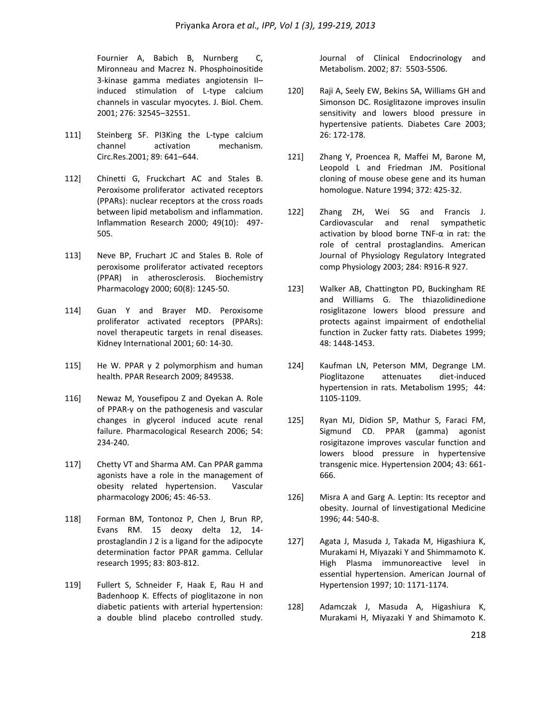Fournier A, Babich B, Nurnberg C, Mironneau and Macrez N. Phosphoinositide 3-kinase gamma mediates angiotensin II– induced stimulation of L-type calcium channels in vascular myocytes. J. Biol. Chem. 2001; 276: 32545–32551.

- 111] Steinberg SF. PI3King the L-type calcium channel activation mechanism. Circ.Res.2001; 89: 641–644.
- 112] Chinetti G, Fruckchart AC and Stales B. Peroxisome proliferator activated receptors (PPARs): nuclear receptors at the cross roads between lipid metabolism and inflammation. Inflammation Research 2000; 49(10): 497- 505.
- 113] Neve BP, Fruchart JC and Stales B. Role of peroxisome proliferator activated receptors (PPAR) in atherosclerosis. Biochemistry Pharmacology 2000; 60(8): 1245-50.
- 114] Guan Y and Brayer MD. Peroxisome proliferator activated receptors (PPARs): novel therapeutic targets in renal diseases. Kidney International 2001; 60: 14-30.
- 115] He W. PPAR γ 2 polymorphism and human health. PPAR Research 2009; 849538.
- 116] Newaz M, Yousefipou Z and Oyekan A. Role of PPAR-γ on the pathogenesis and vascular changes in glycerol induced acute renal failure. Pharmacological Research 2006; 54: 234-240.
- 117] Chetty VT and Sharma AM. Can PPAR gamma agonists have a role in the management of obesity related hypertension. Vascular pharmacology 2006; 45: 46-53.
- 118] Forman BM, Tontonoz P, Chen J, Brun RP, Evans RM. 15 deoxy delta 12, 14 prostaglandin J 2 is a ligand for the adipocyte determination factor PPAR gamma. Cellular research 1995; 83: 803-812.
- 119] Fullert S, Schneider F, Haak E, Rau H and Badenhoop K. Effects of pioglitazone in non diabetic patients with arterial hypertension: a double blind placebo controlled study.

Journal of Clinical Endocrinology and Metabolism. 2002; 87: 5503-5506.

- 120] Raji A, Seely EW, Bekins SA, Williams GH and Simonson DC. Rosiglitazone improves insulin sensitivity and lowers blood pressure in hypertensive patients. Diabetes Care 2003; 26: 172-178.
- 121] Zhang Y, Proencea R, Maffei M, Barone M, Leopold L and Friedman JM. Positional cloning of mouse obese gene and its human homologue. Nature 1994; 372: 425-32.
- 122] Zhang ZH, Wei SG and Francis J. Cardiovascular and renal sympathetic activation by blood borne TNF- $\alpha$  in rat: the role of central prostaglandins. American Journal of Physiology Regulatory Integrated comp Physiology 2003; 284: R916-R 927.
- 123] Walker AB, Chattington PD, Buckingham RE and Williams G. The thiazolidinedione rosiglitazone lowers blood pressure and protects against impairment of endothelial function in Zucker fatty rats. Diabetes 1999; 48: 1448-1453.
- 124] Kaufman LN, Peterson MM, Degrange LM. Pioglitazone attenuates diet-induced hypertension in rats. Metabolism 1995; 44: 1105-1109.
- 125] Ryan MJ, Didion SP, Mathur S, Faraci FM, Sigmund CD. PPAR (gamma) agonist rosigitazone improves vascular function and lowers blood pressure in hypertensive transgenic mice. Hypertension 2004; 43: 661- 666.
- 126] Misra A and Garg A. Leptin: Its receptor and obesity. Journal of Iinvestigational Medicine 1996; 44: 540-8.
- 127] Agata J, Masuda J, Takada M, Higashiura K, Murakami H, Miyazaki Y and Shimmamoto K. High Plasma immunoreactive level in essential hypertension. American Journal of Hypertension 1997; 10: 1171-1174.
- 128] Adamczak J, Masuda A, Higashiura K, Murakami H, Miyazaki Y and Shimamoto K.